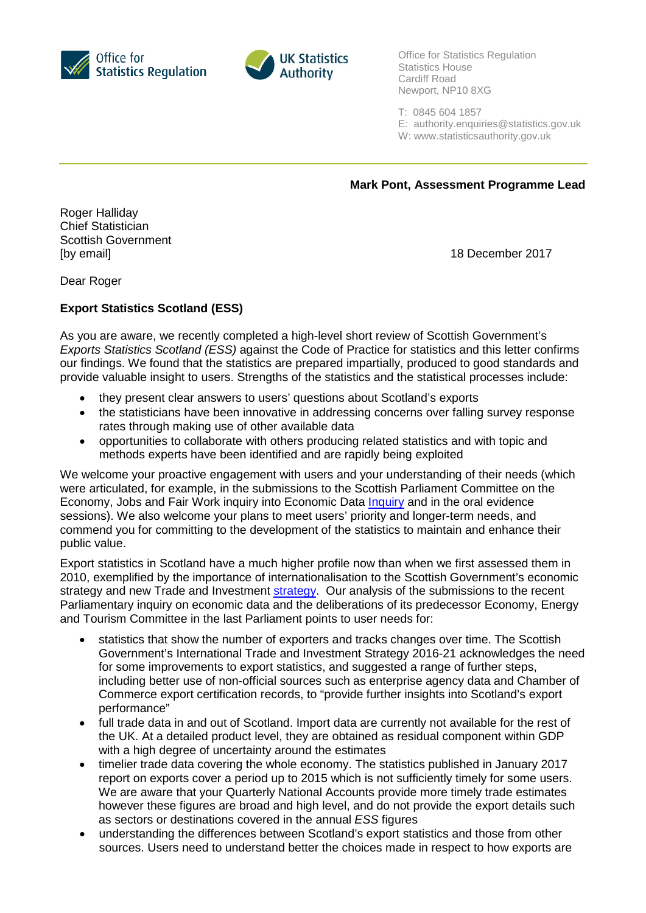



Office for Statistics Regulation Statistics House Cardiff Road Newport, NP10 8XG

T: 0845 604 1857

E: [authority.enquiries@statistics.gov.uk](mailto:authority.enquiries@statistics.gov.uk)

W: www.statisticsauthority.gov.uk

**Mark Pont, Assessment Programme Lead**

Roger Halliday Chief Statistician Scottish Government [by email] 18 December 2017

Dear Roger

## **Export Statistics Scotland (ESS)**

As you are aware, we recently completed a high-level short review of Scottish Government's *Exports Statistics Scotland (ESS)* against the Code of Practice for statistics and this letter confirms our findings. We found that the statistics are prepared impartially, produced to good standards and provide valuable insight to users. Strengths of the statistics and the statistical processes include:

- they present clear answers to users' questions about Scotland's exports
- the statisticians have been innovative in addressing concerns over falling survey response rates through making use of other available data
- opportunities to collaborate with others producing related statistics and with topic and methods experts have been identified and are rapidly being exploited

We welcome your proactive engagement with users and your understanding of their needs (which were articulated, for example, in the submissions to the Scottish Parliament Committee on the Economy, Jobs and Fair Work inquiry into Economic Data *Inquiry* and in the oral evidence sessions). We also welcome your plans to meet users' priority and longer-term needs, and commend you for committing to the development of the statistics to maintain and enhance their public value.

Export statistics in Scotland have a much higher profile now than when we first assessed them in 2010, exemplified by the importance of internationalisation to the Scottish Government's economic strategy and new Trade and Investment [strategy.](http://www.gov.scot/Publications/2016/03/7779) Our analysis of the submissions to the recent Parliamentary inquiry on economic data and the deliberations of its predecessor Economy, Energy and Tourism Committee in the last Parliament points to user needs for:

- statistics that show the number of exporters and tracks changes over time. The Scottish Government's International Trade and Investment Strategy 2016-21 acknowledges the need for some improvements to export statistics, and suggested a range of further steps, including better use of non-official sources such as enterprise agency data and Chamber of Commerce export certification records, to "provide further insights into Scotland's export performance"
- full trade data in and out of Scotland. Import data are currently not available for the rest of the UK. At a detailed product level, they are obtained as residual component within GDP with a high degree of uncertainty around the estimates
- timelier trade data covering the whole economy. The statistics published in January 2017 report on exports cover a period up to 2015 which is not sufficiently timely for some users. We are aware that your Quarterly National Accounts provide more timely trade estimates however these figures are broad and high level, and do not provide the export details such as sectors or destinations covered in the annual *ESS* figures
- understanding the differences between Scotland's export statistics and those from other sources. Users need to understand better the choices made in respect to how exports are